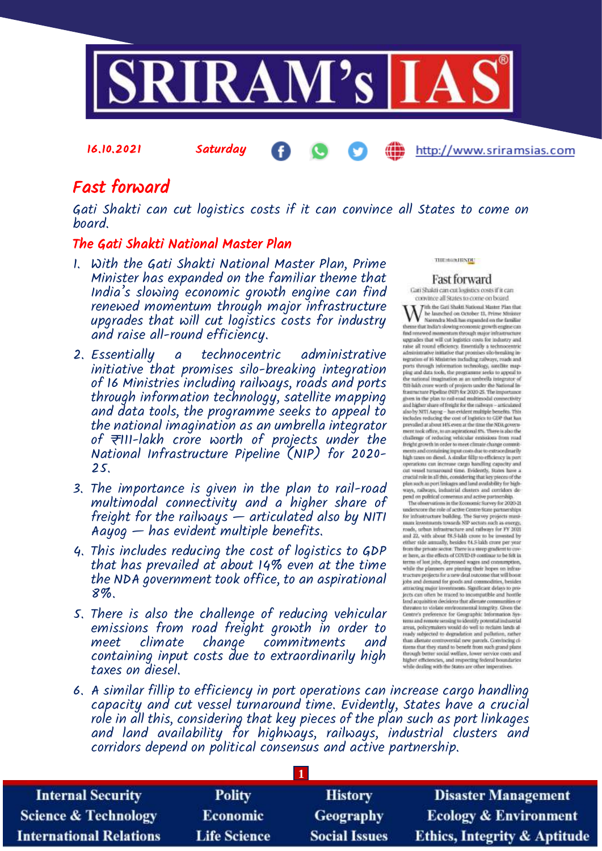

## Fast forward

Gati Shakti can cut logistics costs if it can convince all States to come on board.

## The Gati Shakti National Master Plan

16.10.2021 Saturday

- 1. With the Gati Shakti National Master Plan, Prime Minister has expanded on the familiar theme that India's slowing economic growth engine can find renewed momentum through major infrastructure upgrades that will cut logistics costs for industry and raise all-round efficiency.
- 2. Essentially a technocentric administrative initiative that promises silo-breaking integration of 16 Ministries including railways, roads and ports through information technology, satellite mapping and data tools, the programme seeks to appeal to the national imagination as an umbrella integrator of ₹111-lakh crore worth of projects under the National Infrastructure Pipeline (NIP) for 2020- 25.
- 3. The importance is given in the plan to rail-road multimodal connectivity and a higher share of freight for the railways  $-$  articulated also by NITI Aayog — has evident multiple benefits.
- 4. This includes reducing the cost of logistics to GDP that has prevailed at about 14% even at the time the NDA government took office, to an aspirational 8%.
- 5. There is also the challenge of reducing vehicular emissions from road freight growth in order to meet climate change commitments and containing input costs due to extraordinarily high taxes on diesel.

тисловности

## **Fast forward**

http://www.sriramsias.com

Cati Shakti can cut logistics costs if it can convince all States to come on board. With the Carl Shakt National Master Plan that<br>the law law conduct to the state of the state of the state of the<br>state of the state of the state of the state of the state<br>of the state of the state of the state of the state  $% \left\langle \left\langle \cdot\right\rangle _{0} \right\rangle _{0}$  and renoved momentum through major infrastructure upgrades that will cut logistics costs for industry and rates all round efficiency. Essentially a nechnocentric administration of an administ regration of 16 Ministries including railways, roads and<br>ports through information technology, seedlike mapping and data tools, the programme seeks to appeal to the uniformal imagination as an uniford<br>is integrater of  $\mbox{7111}$  high cross worth of projects under the National Infrastructure Pipeline<br> $\partial \mbox{31P}$  for  $2020$  25. The importance manufacture reports to the box of the integrations of the integrations and higher share of freight for the national connectivity and higher share of freight for the national  $\alpha$  and include the system in the system of th challenge of reducing vehicular emissions from rund freight growth in order to meet climate change commitments and containing imput conto due to extracted<br>material conditions in the base of the contact change in the state operations can increase cargo bandling capacity and<br>cut vessel turnaround time. Evidently, States have a crucial role in all this, considering that key pieces of the communications and considering that way are<br>splittly for high-ways, railways, industrial clusters and contributs depend on political consessus and active partnership.

The observations in the Eccrossic Survey for 2020-21 understore the role of active Contre-State partnerships for infrastructure building. The Survey projects must investment must be seen that the same projects must roads, urban infrastructure and rativary for FY 2020<br>and 22, with about 78.5-labb crore to be invested by<br>either side annually, besides 74.5-labb crore per year from the private sector. There is a steep gradient to cover here, as the effects of COVID-19 continue to be felt in terms of lost jubs, depressed wages and consumption, while the planners are pinning their hopes on infras-<br>tracture projects for a new deal outcome that will boom<br>jobs and demand for goods and commodities, besides attracting major investments. Significant delays to projects can other be traced to incomputible and hontile<br>land acquisition decisions that alimate communities or threaten to violate environmental integrity. Given the Centre's preference for Geographic Information Systems<br>and numerical information Systems and numerical<br>systems would do well to reclaim lands alassay particular to degradation and pollution, rather<br>than alienate controversial new parcels. Convincing clines that they stand to benefit from such grand plans through better social welfare, lower service costs and higher efficiencies, and respecting federal boundaries<br>while dealing with the States are other imperatives.

6. A similar fillip to efficiency in port operations can increase cargo handling capacity and cut vessel turnaround time. Evidently, States have a crucial role in all this, considering that key pieces of the plan such as port linkages and land availability for highways, railways, industrial clusters and corridors depend on political consensus and active partnership.

| <b>Internal Security</b>        | <b>Polity</b>       | <b>History</b>       | <b>Disaster Management</b>              |  |  |
|---------------------------------|---------------------|----------------------|-----------------------------------------|--|--|
| <b>Science &amp; Technology</b> | <b>Economic</b>     | Geography            | <b>Ecology &amp; Environment</b>        |  |  |
| <b>International Relations</b>  | <b>Life Science</b> | <b>Social Issues</b> | <b>Ethics, Integrity &amp; Aptitude</b> |  |  |